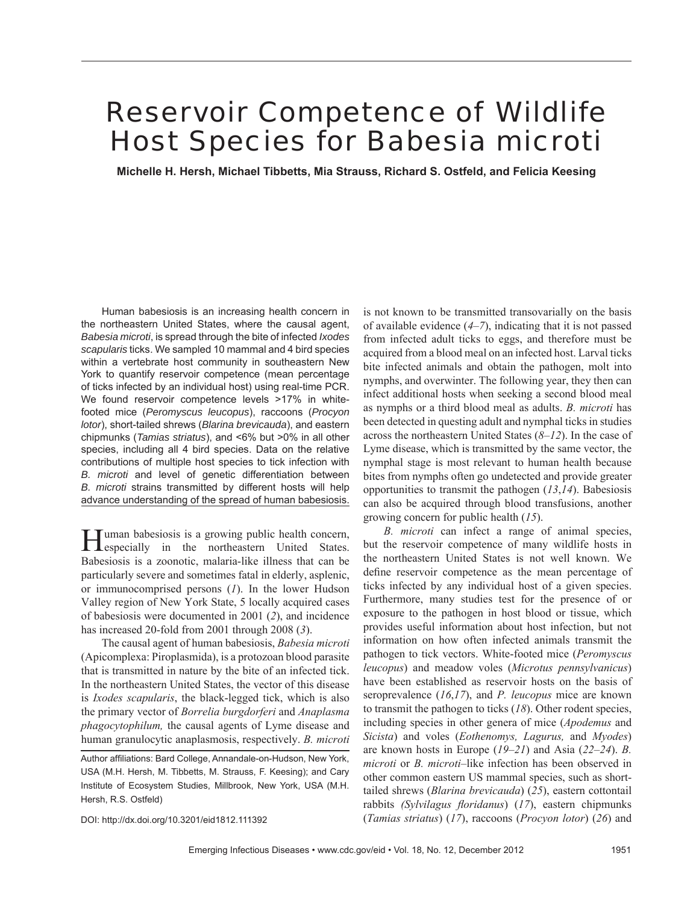# Reservoir Competence of Wildlife Host Species for *Babesia microti*

**Michelle H. Hersh, Michael Tibbetts, Mia Strauss, Richard S. Ostfeld, and Felicia Keesing**

Human babesiosis is an increasing health concern in the northeastern United States, where the causal agent, *Babesia microti*, is spread through the bite of infected *Ixodes scapularis* ticks. We sampled 10 mammal and 4 bird species within a vertebrate host community in southeastern New York to quantify reservoir competence (mean percentage of ticks infected by an individual host) using real-time PCR. We found reservoir competence levels >17% in whitefooted mice (*Peromyscus leucopus*), raccoons (*Procyon lotor*), short-tailed shrews (*Blarina brevicauda*), and eastern chipmunks (*Tamias striatus*), and <6% but >0% in all other species, including all 4 bird species. Data on the relative contributions of multiple host species to tick infection with *B. microti* and level of genetic differentiation between *B. microti* strains transmitted by different hosts will help advance understanding of the spread of human babesiosis.

Human babesiosis is a growing public health concern, especially in the northeastern United States. Babesiosis is a zoonotic, malaria-like illness that can be particularly severe and sometimes fatal in elderly, asplenic, or immunocomprised persons (*1*). In the lower Hudson Valley region of New York State, 5 locally acquired cases of babesiosis were documented in 2001 (*2*), and incidence has increased 20-fold from 2001 through 2008 (*3*).

The causal agent of human babesiosis, *Babesia microti* (Apicomplexa: Piroplasmida), is a protozoan blood parasite that is transmitted in nature by the bite of an infected tick. In the northeastern United States, the vector of this disease is *Ixodes scapularis*, the black-legged tick, which is also the primary vector of *Borrelia burgdorferi* and *Anaplasma phagocytophilum,* the causal agents of Lyme disease and human granulocytic anaplasmosis, respectively. *B. microti*

Author affiliations: Bard College, Annandale-on-Hudson, New York, USA (M.H. Hersh, M. Tibbetts, M. Strauss, F. Keesing); and Cary Institute of Ecosystem Studies, Millbrook, New York, USA (M.H. Hersh, R.S. Ostfeld)

is not known to be transmitted transovarially on the basis of available evidence (*4*–*7*), indicating that it is not passed from infected adult ticks to eggs, and therefore must be acquired from a blood meal on an infected host. Larval ticks bite infected animals and obtain the pathogen, molt into nymphs, and overwinter. The following year, they then can infect additional hosts when seeking a second blood meal as nymphs or a third blood meal as adults. *B. microti* has been detected in questing adult and nymphal ticks in studies across the northeastern United States (*8*–*12*). In the case of Lyme disease, which is transmitted by the same vector, the nymphal stage is most relevant to human health because bites from nymphs often go undetected and provide greater opportunities to transmit the pathogen (*13*,*14*). Babesiosis can also be acquired through blood transfusions, another growing concern for public health (*15*).

*B. microti* can infect a range of animal species, but the reservoir competence of many wildlife hosts in the northeastern United States is not well known. We define reservoir competence as the mean percentage of ticks infected by any individual host of a given species. Furthermore, many studies test for the presence of or exposure to the pathogen in host blood or tissue, which provides useful information about host infection, but not information on how often infected animals transmit the pathogen to tick vectors. White-footed mice (*Peromyscus leucopus*) and meadow voles (*Microtus pennsylvanicus*) have been established as reservoir hosts on the basis of seroprevalence (*16*,*17*), and *P. leucopus* mice are known to transmit the pathogen to ticks (*18*). Other rodent species, including species in other genera of mice (*Apodemus* and *Sicista*) and voles (*Eothenomys, Lagurus,* and *Myodes*) are known hosts in Europe (*19*–*21*) and Asia (*22*–*24*). *B. microti* or *B. microti*–like infection has been observed in other common eastern US mammal species, such as shorttailed shrews (*Blarina brevicauda*) (*25*), eastern cottontail rabbits *(Sylvilagus floridanus)* (17), eastern chipmunks (*Tamias striatus*) (*17*), raccoons (*Procyon lotor*) (*26*) and

DOI: http://dx.doi.org/10.3201/eid1812.111392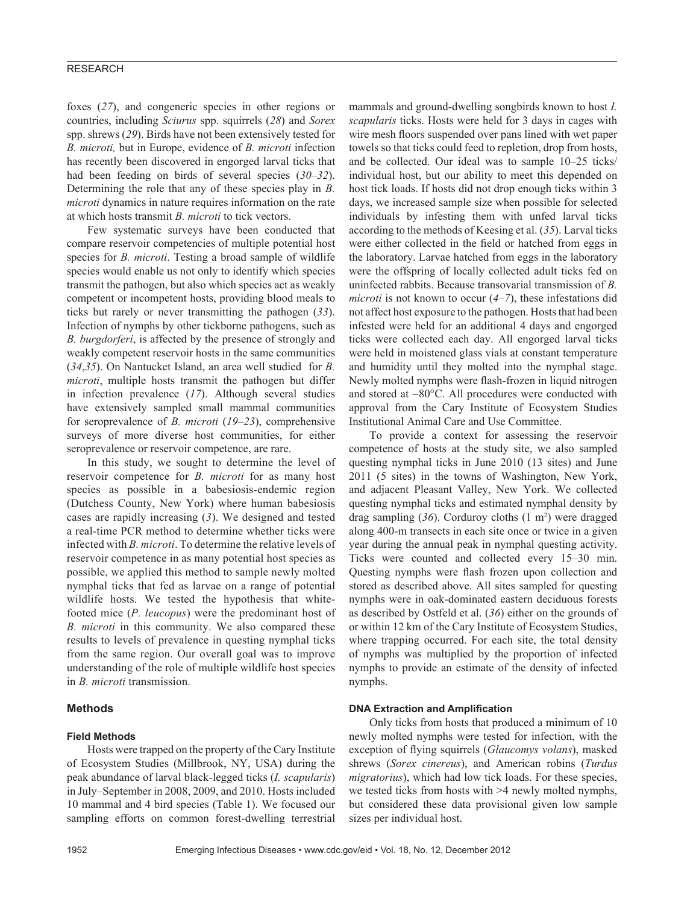### RESEARCH

foxes (*27*), and congeneric species in other regions or countries, including *Sciurus* spp. squirrels (*28*) and *Sorex* spp. shrews (*29*). Birds have not been extensively tested for *B. microti,* but in Europe, evidence of *B. microti* infection has recently been discovered in engorged larval ticks that had been feeding on birds of several species (*30*–*32*). Determining the role that any of these species play in *B. microti* dynamics in nature requires information on the rate at which hosts transmit *B. microti* to tick vectors.

Few systematic surveys have been conducted that compare reservoir competencies of multiple potential host species for *B. microti*. Testing a broad sample of wildlife species would enable us not only to identify which species transmit the pathogen, but also which species act as weakly competent or incompetent hosts, providing blood meals to ticks but rarely or never transmitting the pathogen (*33*). Infection of nymphs by other tickborne pathogens, such as *B. burgdorferi*, is affected by the presence of strongly and weakly competent reservoir hosts in the same communities (*34*,*35*). On Nantucket Island, an area well studied for *B. microti*, multiple hosts transmit the pathogen but differ in infection prevalence (*17*). Although several studies have extensively sampled small mammal communities for seroprevalence of *B. microti* (*19*–*23*), comprehensive surveys of more diverse host communities, for either seroprevalence or reservoir competence, are rare.

In this study, we sought to determine the level of reservoir competence for *B. microti* for as many host species as possible in a babesiosis-endemic region (Dutchess County, New York) where human babesiosis cases are rapidly increasing (*3*). We designed and tested a real-time PCR method to determine whether ticks were infected with *B. microti*. To determine the relative levels of reservoir competence in as many potential host species as possible, we applied this method to sample newly molted nymphal ticks that fed as larvae on a range of potential wildlife hosts. We tested the hypothesis that whitefooted mice (*P. leucopus*) were the predominant host of *B. microti* in this community. We also compared these results to levels of prevalence in questing nymphal ticks from the same region. Our overall goal was to improve understanding of the role of multiple wildlife host species in *B. microti* transmission.

## **Methods**

#### **Field Methods**

Hosts were trapped on the property of the Cary Institute of Ecosystem Studies (Millbrook, NY, USA) during the peak abundance of larval black-legged ticks (*I. scapularis*) in July–September in 2008, 2009, and 2010. Hosts included 10 mammal and 4 bird species (Table 1). We focused our sampling efforts on common forest-dwelling terrestrial mammals and ground-dwelling songbirds known to host *I. scapularis* ticks. Hosts were held for 3 days in cages with wire mesh floors suspended over pans lined with wet paper towels so that ticks could feed to repletion, drop from hosts, and be collected. Our ideal was to sample 10–25 ticks/ individual host, but our ability to meet this depended on host tick loads. If hosts did not drop enough ticks within 3 days, we increased sample size when possible for selected individuals by infesting them with unfed larval ticks according to the methods of Keesing et al. (*35*). Larval ticks were either collected in the field or hatched from eggs in the laboratory. Larvae hatched from eggs in the laboratory were the offspring of locally collected adult ticks fed on uninfected rabbits. Because transovarial transmission of *B. microti* is not known to occur (*4*–*7*), these infestations did not affect host exposure to the pathogen. Hosts that had been infested were held for an additional 4 days and engorged ticks were collected each day. All engorged larval ticks were held in moistened glass vials at constant temperature and humidity until they molted into the nymphal stage. Newly molted nymphs were flash-frozen in liquid nitrogen and stored at −80°C. All procedures were conducted with approval from the Cary Institute of Ecosystem Studies Institutional Animal Care and Use Committee.

To provide a context for assessing the reservoir competence of hosts at the study site, we also sampled questing nymphal ticks in June 2010 (13 sites) and June 2011 (5 sites) in the towns of Washington, New York, and adjacent Pleasant Valley, New York. We collected questing nymphal ticks and estimated nymphal density by drag sampling (*36*). Corduroy cloths (1 m2 ) were dragged along 400-m transects in each site once or twice in a given year during the annual peak in nymphal questing activity. Ticks were counted and collected every 15–30 min. Questing nymphs were flash frozen upon collection and stored as described above. All sites sampled for questing nymphs were in oak-dominated eastern deciduous forests as described by Ostfeld et al. (*36*) either on the grounds of or within 12 km of the Cary Institute of Ecosystem Studies, where trapping occurred. For each site, the total density of nymphs was multiplied by the proportion of infected nymphs to provide an estimate of the density of infected nymphs.

### **DNA Extraction and Amplification**

Only ticks from hosts that produced a minimum of 10 newly molted nymphs were tested for infection, with the exception of flying squirrels (*Glaucomys volans*), masked shrews (*Sorex cinereus*), and American robins (*Turdus migratorius*), which had low tick loads. For these species, we tested ticks from hosts with >4 newly molted nymphs, but considered these data provisional given low sample sizes per individual host.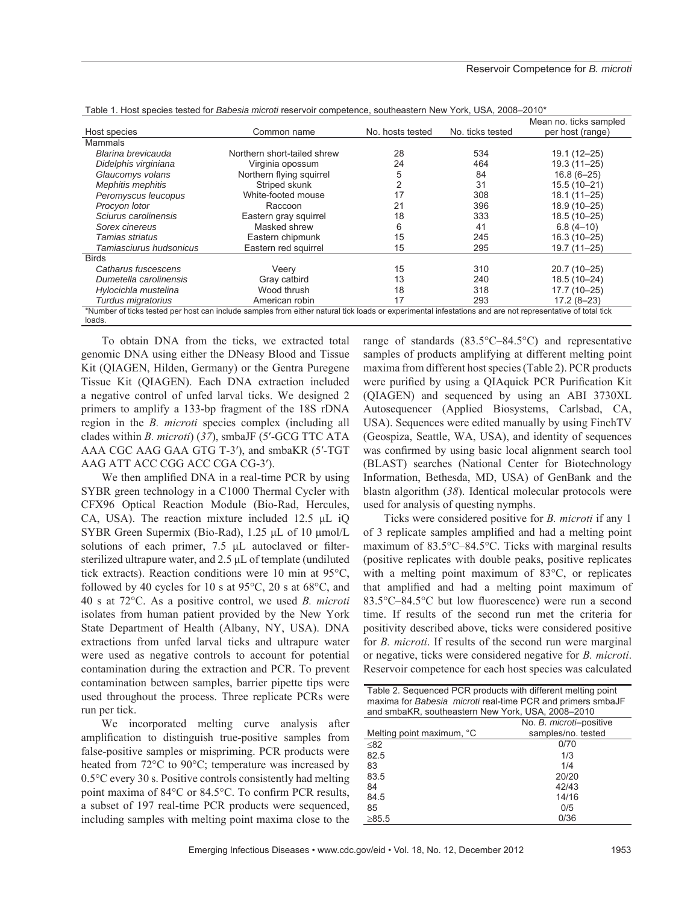| Table T. HUST Species tested for <i>Babesia Microll</i> reservoir competence, southeastern New Tork, OSA, 2006–2010                                       |                             |                  |                  |                        |  |
|-----------------------------------------------------------------------------------------------------------------------------------------------------------|-----------------------------|------------------|------------------|------------------------|--|
|                                                                                                                                                           |                             |                  |                  | Mean no. ticks sampled |  |
| Host species                                                                                                                                              | Common name                 | No. hosts tested | No. ticks tested | per host (range)       |  |
| <b>Mammals</b>                                                                                                                                            |                             |                  |                  |                        |  |
| Blarina brevicauda                                                                                                                                        | Northern short-tailed shrew | 28               | 534              | 19.1 (12-25)           |  |
| Didelphis virginiana                                                                                                                                      | Virginia opossum            | 24               | 464              | $19.3(11 - 25)$        |  |
| Glaucomys volans                                                                                                                                          | Northern flying squirrel    | 5                | 84               | $16.8(6 - 25)$         |  |
| Mephitis mephitis                                                                                                                                         | Striped skunk               |                  | 31               | $15.5(10-21)$          |  |
| Peromyscus leucopus                                                                                                                                       | White-footed mouse          | 17               | 308              | $18.1(11 - 25)$        |  |
| Procyon lotor                                                                                                                                             | Raccoon                     | 21               | 396              | 18.9 (10-25)           |  |
| Sciurus carolinensis                                                                                                                                      | Eastern gray squirrel       | 18               | 333              | 18.5 (10-25)           |  |
| Sorex cinereus                                                                                                                                            | Masked shrew                | 6                | 41               | $6.8(4-10)$            |  |
| Tamias striatus                                                                                                                                           | Eastern chipmunk            | 15               | 245              | $16.3(10-25)$          |  |
| Tamiasciurus hudsonicus                                                                                                                                   | Eastern red squirrel        | 15               | 295              | 19.7 (11-25)           |  |
| <b>Birds</b>                                                                                                                                              |                             |                  |                  |                        |  |
| Catharus fuscescens                                                                                                                                       | Veery                       | 15               | 310              | $20.7(10-25)$          |  |
| Dumetella carolinensis                                                                                                                                    | Gray catbird                | 13               | 240              | 18.5 (10-24)           |  |
| Hylocichla mustelina                                                                                                                                      | Wood thrush                 | 18               | 318              | 17.7 (10-25)           |  |
| Turdus migratorius                                                                                                                                        | American robin              | 17               | 293              | $17.2(8-23)$           |  |
| *Number of ticks tested per host can include samples from either natural tick loads or experimental infestations and are not representative of total tick |                             |                  |                  |                        |  |
| loads.                                                                                                                                                    |                             |                  |                  |                        |  |

Table 1. Host species tested for *Babesia microti* reservoir competence, southeastern New York, USA, 2008–2010\*

To obtain DNA from the ticks, we extracted total genomic DNA using either the DNeasy Blood and Tissue Kit (QIAGEN, Hilden, Germany) or the Gentra Puregene Tissue Kit (QIAGEN). Each DNA extraction included a negative control of unfed larval ticks. We designed 2 primers to amplify a 133-bp fragment of the 18S rDNA region in the *B. microti* species complex (including all clades within *B. microti*) (*37*), smbaJF (5′-GCG TTC ATA AAA CGC AAG GAA GTG T-3′), and smbaKR (5′-TGT AAG ATT ACC CGG ACC CGA CG-3′).

We then amplified DNA in a real-time PCR by using SYBR green technology in a C1000 Thermal Cycler with CFX96 Optical Reaction Module (Bio-Rad, Hercules, CA, USA). The reaction mixture included 12.5 μL iQ SYBR Green Supermix (Bio-Rad), 1.25 μL of 10 μmol/L solutions of each primer,  $7.5$   $\mu$ L autoclaved or filtersterilized ultrapure water, and 2.5 μL of template (undiluted tick extracts). Reaction conditions were 10 min at 95°C, followed by 40 cycles for 10 s at  $95^{\circ}$ C, 20 s at  $68^{\circ}$ C, and 40 s at 72°C. As a positive control, we used *B. microti* isolates from human patient provided by the New York State Department of Health (Albany, NY, USA). DNA extractions from unfed larval ticks and ultrapure water were used as negative controls to account for potential contamination during the extraction and PCR. To prevent contamination between samples, barrier pipette tips were used throughout the process. Three replicate PCRs were run per tick.

We incorporated melting curve analysis after amplification to distinguish true-positive samples from false-positive samples or mispriming. PCR products were heated from 72°C to 90°C; temperature was increased by 0.5°C every 30 s. Positive controls consistently had melting point maxima of  $84^{\circ}$ C or  $84.5^{\circ}$ C. To confirm PCR results, a subset of 197 real-time PCR products were sequenced, including samples with melting point maxima close to the range of standards (83.5°C–84.5°C) and representative samples of products amplifying at different melting point maxima from different host species (Table 2). PCR products were purified by using a QIAquick PCR Purification Kit (QIAGEN) and sequenced by using an ABI 3730XL Autosequencer (Applied Biosystems, Carlsbad, CA, USA). Sequences were edited manually by using FinchTV (Geospiza, Seattle, WA, USA), and identity of sequences was confirmed by using basic local alignment search tool (BLAST) searches (National Center for Biotechnology Information, Bethesda, MD, USA) of GenBank and the blastn algorithm (*38*). Identical molecular protocols were used for analysis of questing nymphs.

Ticks were considered positive for *B. microti* if any 1 of 3 replicate samples amplified and had a melting point maximum of 83.5°C–84.5°C. Ticks with marginal results (positive replicates with double peaks, positive replicates with a melting point maximum of 83°C, or replicates that amplified and had a melting point maximum of 83.5°C–84.5°C but low fluorescence) were run a second time. If results of the second run met the criteria for positivity described above, ticks were considered positive for *B. microti*. If results of the second run were marginal or negative, ticks were considered negative for *B. microti*. Reservoir competence for each host species was calculated

| Table 2. Ocyuchceu F OR products with unicities miting point<br>maxima for Babesia microti real-time PCR and primers smbaJF |  |  |  |  |  |
|-----------------------------------------------------------------------------------------------------------------------------|--|--|--|--|--|
| and smbaKR, southeastern New York, USA, 2008-2010                                                                           |  |  |  |  |  |
| No. B. microti-positive                                                                                                     |  |  |  |  |  |
| samples/no. tested                                                                                                          |  |  |  |  |  |
| 0/70                                                                                                                        |  |  |  |  |  |
| 1/3                                                                                                                         |  |  |  |  |  |
| 1/4                                                                                                                         |  |  |  |  |  |
| 20/20                                                                                                                       |  |  |  |  |  |
| 42/43                                                                                                                       |  |  |  |  |  |
| 14/16                                                                                                                       |  |  |  |  |  |
| 0/5                                                                                                                         |  |  |  |  |  |
| 0/36                                                                                                                        |  |  |  |  |  |
|                                                                                                                             |  |  |  |  |  |

Table 2. Sequenced PCR products with different melting point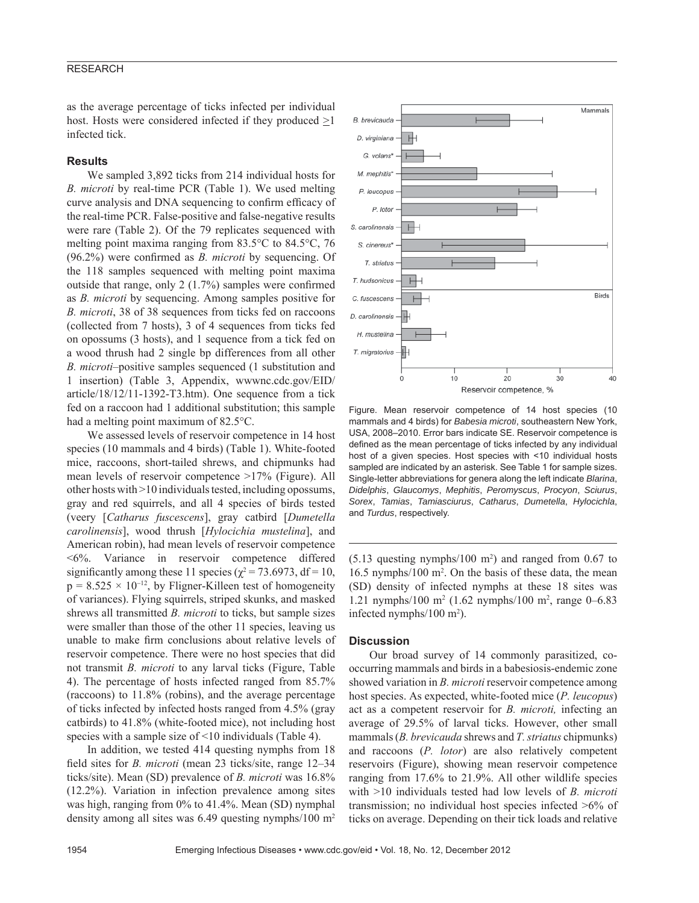#### RESEARCH

as the average percentage of ticks infected per individual host. Hosts were considered infected if they produced  $>1$ infected tick.

#### **Results**

We sampled 3,892 ticks from 214 individual hosts for *B. microti* by real-time PCR (Table 1). We used melting curve analysis and DNA sequencing to confirm efficacy of the real-time PCR. False-positive and false-negative results were rare (Table 2). Of the 79 replicates sequenced with melting point maxima ranging from 83.5°C to 84.5°C, 76  $(96.2\%)$  were confirmed as *B. microti* by sequencing. Of the 118 samples sequenced with melting point maxima outside that range, only  $2(1.7%)$  samples were confirmed as *B. microti* by sequencing. Among samples positive for *B. microti*, 38 of 38 sequences from ticks fed on raccoons (collected from 7 hosts), 3 of 4 sequences from ticks fed on opossums (3 hosts), and 1 sequence from a tick fed on a wood thrush had 2 single bp differences from all other *B. microti*–positive samples sequenced (1 substitution and 1 insertion) (Table 3, Appendix, wwwnc.cdc.gov/EID/ article/18/12/11-1392-T3.htm). One sequence from a tick fed on a raccoon had 1 additional substitution; this sample had a melting point maximum of 82.5°C.

We assessed levels of reservoir competence in 14 host species (10 mammals and 4 birds) (Table 1). White-footed mice, raccoons, short-tailed shrews, and chipmunks had mean levels of reservoir competence >17% (Figure). All other hosts with >10 individuals tested, including opossums, gray and red squirrels, and all 4 species of birds tested (veery [*Catharus fuscescens*], gray catbird [*Dumetella carolinensis*], wood thrush [*Hylocichia mustelina*], and American robin), had mean levels of reservoir competence <6%. Variance in reservoir competence differed significantly among these 11 species ( $\chi^2$  = 73.6973, df = 10,  $p = 8.525 \times 10^{-12}$ , by Fligner-Killeen test of homogeneity of variances). Flying squirrels, striped skunks, and masked shrews all transmitted *B. microti* to ticks, but sample sizes were smaller than those of the other 11 species, leaving us unable to make firm conclusions about relative levels of reservoir competence. There were no host species that did not transmit *B. microti* to any larval ticks (Figure, Table 4). The percentage of hosts infected ranged from 85.7% (raccoons) to 11.8% (robins), and the average percentage of ticks infected by infected hosts ranged from 4.5% (gray catbirds) to 41.8% (white-footed mice), not including host species with a sample size of <10 individuals (Table 4).

In addition, we tested 414 questing nymphs from 18 field sites for *B. microti* (mean 23 ticks/site, range 12–34 ticks/site). Mean (SD) prevalence of *B. microti* was 16.8% (12.2%). Variation in infection prevalence among sites was high, ranging from 0% to 41.4%. Mean (SD) nymphal density among all sites was 6.49 questing nymphs/100 m2



Figure. Mean reservoir competence of 14 host species (10 mammals and 4 birds) for *Babesia microti*, southeastern New York, USA, 2008–2010. Error bars indicate SE. Reservoir competence is defined as the mean percentage of ticks infected by any individual host of a given species. Host species with <10 individual hosts sampled are indicated by an asterisk. See Table 1 for sample sizes. Single-letter abbreviations for genera along the left indicate *Blarina*, *Didelphis*, *Glaucomys*, *Mephitis*, *Peromyscus*, *Procyon*, *Sciurus*, *Sorex*, *Tamias*, *Tamiasciurus*, *Catharus*, *Dumetella*, *Hylocichla*, and *Turdus*, respectively.

 $(5.13$  questing nymphs/100 m<sup>2</sup>) and ranged from 0.67 to 16.5 nymphs/100 m2 . On the basis of these data, the mean (SD) density of infected nymphs at these 18 sites was 1.21 nymphs/100 m2 (1.62 nymphs/100 m2 , range 0–6.83 infected nymphs/100 m2 ).

#### **Discussion**

Our broad survey of 14 commonly parasitized, cooccurring mammals and birds in a babesiosis-endemic zone showed variation in *B. microti* reservoir competence among host species. As expected, white-footed mice (*P. leucopus*) act as a competent reservoir for *B. microti,* infecting an average of 29.5% of larval ticks. However, other small mammals (*B. brevicauda* shrews and *T. striatus* chipmunks) and raccoons (*P. lotor*) are also relatively competent reservoirs (Figure), showing mean reservoir competence ranging from 17.6% to 21.9%. All other wildlife species with >10 individuals tested had low levels of *B. microti* transmission; no individual host species infected >6% of ticks on average. Depending on their tick loads and relative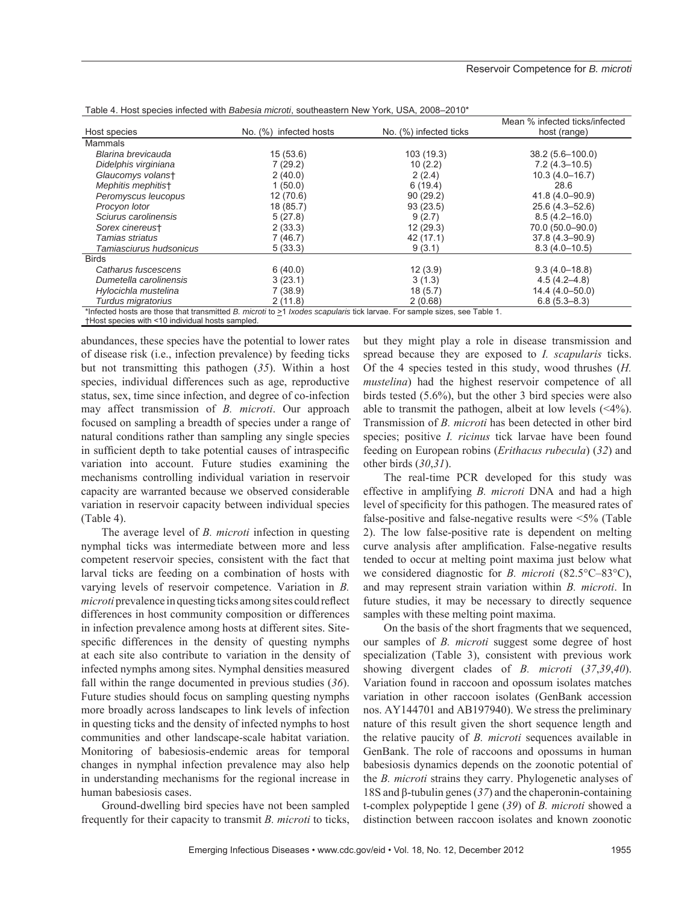|                                                  |                                                                                                                           |                        | Mean % infected ticks/infected |
|--------------------------------------------------|---------------------------------------------------------------------------------------------------------------------------|------------------------|--------------------------------|
| Host species                                     | No. (%) infected hosts                                                                                                    | No. (%) infected ticks | host (range)                   |
| Mammals                                          |                                                                                                                           |                        |                                |
| Blarina brevicauda                               | 15(53.6)                                                                                                                  | 103 (19.3)             | $38.2(5.6 - 100.0)$            |
| Didelphis virginiana                             | 7(29.2)                                                                                                                   | 10(2.2)                | $7.2(4.3 - 10.5)$              |
| Glaucomys volanst                                | 2(40.0)                                                                                                                   | 2(2.4)                 | $10.3(4.0 - 16.7)$             |
| Mephitis mephitist                               | 1(50.0)                                                                                                                   | 6(19.4)                | 28.6                           |
| Peromyscus leucopus                              | 12(70.6)                                                                                                                  | 90(29.2)               | 41.8 (4.0-90.9)                |
| Procyon lotor                                    | 18 (85.7)                                                                                                                 | 93(23.5)               | $25.6(4.3 - 52.6)$             |
| Sciurus carolinensis                             | 5(27.8)                                                                                                                   | 9(2.7)                 | $8.5(4.2 - 16.0)$              |
| Sorex cinereust                                  | 2(33.3)                                                                                                                   | 12(29.3)               | 70.0 (50.0-90.0)               |
| Tamias striatus                                  | 7(46.7)                                                                                                                   | 42 (17.1)              | $37.8(4.3 - 90.9)$             |
| Tamiasciurus hudsonicus                          | 5(33.3)                                                                                                                   | 9(3.1)                 | $8.3(4.0-10.5)$                |
| <b>Birds</b>                                     |                                                                                                                           |                        |                                |
| Catharus fuscescens                              | 6(40.0)                                                                                                                   | 12(3.9)                | $9.3(4.0 - 18.8)$              |
| Dumetella carolinensis                           | 3(23.1)                                                                                                                   | 3(1.3)                 | $4.5(4.2 - 4.8)$               |
| Hylocichla mustelina                             | 7(38.9)                                                                                                                   | 18(5.7)                | $14.4(4.0 - 50.0)$             |
| Turdus migratorius                               | 2(11.8)                                                                                                                   | 2(0.68)                | $6.8(5.3 - 8.3)$               |
|                                                  | *Infected hosts are those that transmitted B. microti to >1 Ixodes scapularis tick larvae. For sample sizes, see Table 1. |                        |                                |
| +Host species with <10 individual hosts sampled. |                                                                                                                           |                        |                                |

Table 4. Host species infected with *Babesia microti*, southeastern New York, USA, 2008–2010\*

abundances, these species have the potential to lower rates of disease risk (i.e., infection prevalence) by feeding ticks but not transmitting this pathogen (*35*). Within a host species, individual differences such as age, reproductive status, sex, time since infection, and degree of co-infection may affect transmission of *B. microti*. Our approach focused on sampling a breadth of species under a range of natural conditions rather than sampling any single species in sufficient depth to take potential causes of intraspecific variation into account. Future studies examining the mechanisms controlling individual variation in reservoir capacity are warranted because we observed considerable variation in reservoir capacity between individual species (Table 4).

The average level of *B. microti* infection in questing nymphal ticks was intermediate between more and less competent reservoir species, consistent with the fact that larval ticks are feeding on a combination of hosts with varying levels of reservoir competence. Variation in *B. microti* prevalence in questing ticks among sites could reflect differences in host community composition or differences in infection prevalence among hosts at different sites. Sitespecific differences in the density of questing nymphs at each site also contribute to variation in the density of infected nymphs among sites. Nymphal densities measured fall within the range documented in previous studies (*36*). Future studies should focus on sampling questing nymphs more broadly across landscapes to link levels of infection in questing ticks and the density of infected nymphs to host communities and other landscape-scale habitat variation. Monitoring of babesiosis-endemic areas for temporal changes in nymphal infection prevalence may also help in understanding mechanisms for the regional increase in human babesiosis cases.

Ground-dwelling bird species have not been sampled frequently for their capacity to transmit *B. microti* to ticks,

but they might play a role in disease transmission and spread because they are exposed to *I. scapularis* ticks. Of the 4 species tested in this study, wood thrushes (*H. mustelina*) had the highest reservoir competence of all birds tested (5.6%), but the other 3 bird species were also able to transmit the pathogen, albeit at low levels  $(\leq 4\%)$ . Transmission of *B. microti* has been detected in other bird species; positive *I. ricinus* tick larvae have been found feeding on European robins (*Erithacus rubecula*) (*32*) and other birds (*30*,*31*).

The real-time PCR developed for this study was effective in amplifying *B. microti* DNA and had a high level of specificity for this pathogen. The measured rates of false-positive and false-negative results were <5% (Table 2). The low false-positive rate is dependent on melting curve analysis after amplification. False-negative results tended to occur at melting point maxima just below what we considered diagnostic for *B. microti* (82.5°C–83°C), and may represent strain variation within *B. microti*. In future studies, it may be necessary to directly sequence samples with these melting point maxima.

On the basis of the short fragments that we sequenced, our samples of *B. microti* suggest some degree of host specialization (Table 3), consistent with previous work showing divergent clades of *B. microti* (*37*,*39*,*40*). Variation found in raccoon and opossum isolates matches variation in other raccoon isolates (GenBank accession nos. AY144701 and AB197940). We stress the preliminary nature of this result given the short sequence length and the relative paucity of *B. microti* sequences available in GenBank. The role of raccoons and opossums in human babesiosis dynamics depends on the zoonotic potential of the *B. microti* strains they carry. Phylogenetic analyses of 18S and β-tubulin genes (*37*) and the chaperonin-containing t-complex polypeptide l gene (*39*) of *B. microti* showed a distinction between raccoon isolates and known zoonotic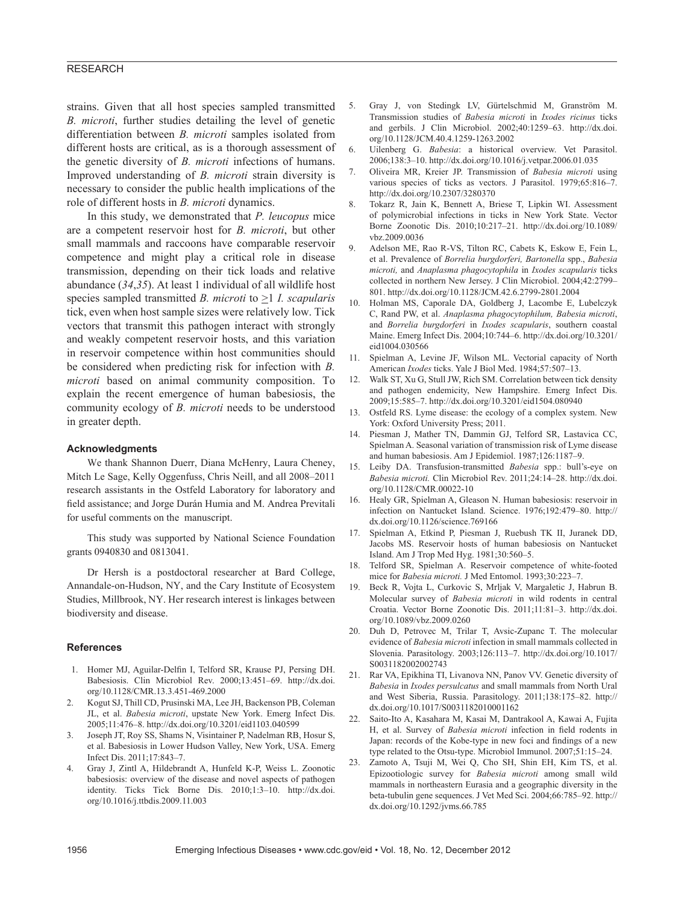#### RESEARCH

strains. Given that all host species sampled transmitted *B. microti*, further studies detailing the level of genetic differentiation between *B. microti* samples isolated from different hosts are critical, as is a thorough assessment of the genetic diversity of *B. microti* infections of humans. Improved understanding of *B. microti* strain diversity is necessary to consider the public health implications of the role of different hosts in *B. microti* dynamics.

In this study, we demonstrated that *P. leucopus* mice are a competent reservoir host for *B. microti*, but other small mammals and raccoons have comparable reservoir competence and might play a critical role in disease transmission, depending on their tick loads and relative abundance (*34*,*35*). At least 1 individual of all wildlife host species sampled transmitted *B. microti* to >1 *I. scapularis* tick, even when host sample sizes were relatively low. Tick vectors that transmit this pathogen interact with strongly and weakly competent reservoir hosts, and this variation in reservoir competence within host communities should be considered when predicting risk for infection with *B. microti* based on animal community composition. To explain the recent emergence of human babesiosis, the community ecology of *B. microti* needs to be understood in greater depth.

#### **Acknowledgments**

We thank Shannon Duerr, Diana McHenry, Laura Cheney, Mitch Le Sage, Kelly Oggenfuss, Chris Neill, and all 2008–2011 research assistants in the Ostfeld Laboratory for laboratory and field assistance; and Jorge Durán Humia and M. Andrea Previtali for useful comments on the manuscript.

This study was supported by National Science Foundation grants 0940830 and 0813041.

Dr Hersh is a postdoctoral researcher at Bard College, Annandale-on-Hudson, NY, and the Cary Institute of Ecosystem Studies, Millbrook, NY. Her research interest is linkages between biodiversity and disease.

#### **References**

- 1. Homer MJ, Aguilar-Delfin I, Telford SR, Krause PJ, Persing DH. Babesiosis. Clin Microbiol Rev. 2000;13:451–69. http://dx.doi. org/10.1128/CMR.13.3.451-469.2000
- 2. Kogut SJ, Thill CD, Prusinski MA, Lee JH, Backenson PB, Coleman JL, et al. *Babesia microti*, upstate New York. Emerg Infect Dis. 2005;11:476–8. http://dx.doi.org/10.3201/eid1103.040599
- 3. Joseph JT, Roy SS, Shams N, Visintainer P, Nadelman RB, Hosur S, et al. Babesiosis in Lower Hudson Valley, New York, USA. Emerg Infect Dis. 2011;17:843–7.
- 4. Gray J, Zintl A, Hildebrandt A, Hunfeld K-P, Weiss L. Zoonotic babesiosis: overview of the disease and novel aspects of pathogen identity. Ticks Tick Borne Dis. 2010;1:3–10. http://dx.doi. org/10.1016/j.ttbdis.2009.11.003
- 5. Gray J, von Stedingk LV, Gürtelschmid M, Granström M. Transmission studies of *Babesia microti* in *Ixodes ricinus* ticks and gerbils. J Clin Microbiol. 2002;40:1259–63. http://dx.doi. org/10.1128/JCM.40.4.1259-1263.2002
- 6. Uilenberg G. *Babesia*: a historical overview. Vet Parasitol. 2006;138:3–10. http://dx.doi.org/10.1016/j.vetpar.2006.01.035
- 7. Oliveira MR, Kreier JP. Transmission of *Babesia microti* using various species of ticks as vectors. J Parasitol. 1979;65:816–7. http://dx.doi.org/10.2307/3280370
- 8. Tokarz R, Jain K, Bennett A, Briese T, Lipkin WI. Assessment of polymicrobial infections in ticks in New York State. Vector Borne Zoonotic Dis. 2010;10:217–21. http://dx.doi.org/10.1089/ vbz.2009.0036
- 9. Adelson ME, Rao R-VS, Tilton RC, Cabets K, Eskow E, Fein L, et al. Prevalence of *Borrelia burgdorferi, Bartonella* spp., *Babesia microti,* and *Anaplasma phagocytophila* in *Ixodes scapularis* ticks collected in northern New Jersey. J Clin Microbiol. 2004;42:2799– 801. http://dx.doi.org/10.1128/JCM.42.6.2799-2801.2004
- 10. Holman MS, Caporale DA, Goldberg J, Lacombe E, Lubelczyk C, Rand PW, et al. *Anaplasma phagocytophilum, Babesia microti*, and *Borrelia burgdorferi* in *Ixodes scapularis*, southern coastal Maine. Emerg Infect Dis. 2004;10:744–6. http://dx.doi.org/10.3201/ eid1004.030566
- 11. Spielman A, Levine JF, Wilson ML. Vectorial capacity of North American *Ixodes* ticks. Yale J Biol Med. 1984;57:507–13.
- 12. Walk ST, Xu G, Stull JW, Rich SM. Correlation between tick density and pathogen endemicity, New Hampshire. Emerg Infect Dis. 2009;15:585–7. http://dx.doi.org/10.3201/eid1504.080940
- 13. Ostfeld RS. Lyme disease: the ecology of a complex system. New York: Oxford University Press; 2011.
- 14. Piesman J, Mather TN, Dammin GJ, Telford SR, Lastavica CC, Spielman A. Seasonal variation of transmission risk of Lyme disease and human babesiosis. Am J Epidemiol. 1987;126:1187–9.
- 15. Leiby DA. Transfusion-transmitted *Babesia* spp.: bull's-eye on *Babesia microti.* Clin Microbiol Rev. 2011;24:14–28. http://dx.doi. org/10.1128/CMR.00022-10
- 16. Healy GR, Spielman A, Gleason N. Human babesiosis: reservoir in infection on Nantucket Island. Science. 1976;192:479–80. http:// dx.doi.org/10.1126/science.769166
- 17. Spielman A, Etkind P, Piesman J, Ruebush TK II, Juranek DD, Jacobs MS. Reservoir hosts of human babesiosis on Nantucket Island. Am J Trop Med Hyg. 1981;30:560–5.
- 18. Telford SR, Spielman A. Reservoir competence of white-footed mice for *Babesia microti.* J Med Entomol. 1993;30:223–7.
- 19. Beck R, Vojta L, Curkovic S, Mrljak V, Margaletic J, Habrun B. Molecular survey of *Babesia microti* in wild rodents in central Croatia. Vector Borne Zoonotic Dis. 2011;11:81–3. http://dx.doi. org/10.1089/vbz.2009.0260
- 20. Duh D, Petrovec M, Trilar T, Avsic-Zupanc T. The molecular evidence of *Babesia microti* infection in small mammals collected in Slovenia. Parasitology. 2003;126:113–7. http://dx.doi.org/10.1017/ S0031182002002743
- 21. Rar VA, Epikhina TI, Livanova NN, Panov VV. Genetic diversity of *Babesia* in *Ixodes persulcatus* and small mammals from North Ural and West Siberia, Russia. Parasitology. 2011;138:175–82. http:// dx.doi.org/10.1017/S0031182010001162
- 22. Saito-Ito A, Kasahara M, Kasai M, Dantrakool A, Kawai A, Fujita H, et al. Survey of *Babesia microti* infection in field rodents in Japan: records of the Kobe-type in new foci and findings of a new type related to the Otsu-type. Microbiol Immunol. 2007;51:15–24.
- 23. Zamoto A, Tsuji M, Wei Q, Cho SH, Shin EH, Kim TS, et al. Epizootiologic survey for *Babesia microti* among small wild mammals in northeastern Eurasia and a geographic diversity in the beta-tubulin gene sequences. J Vet Med Sci. 2004;66:785–92. http:// dx.doi.org/10.1292/jvms.66.785